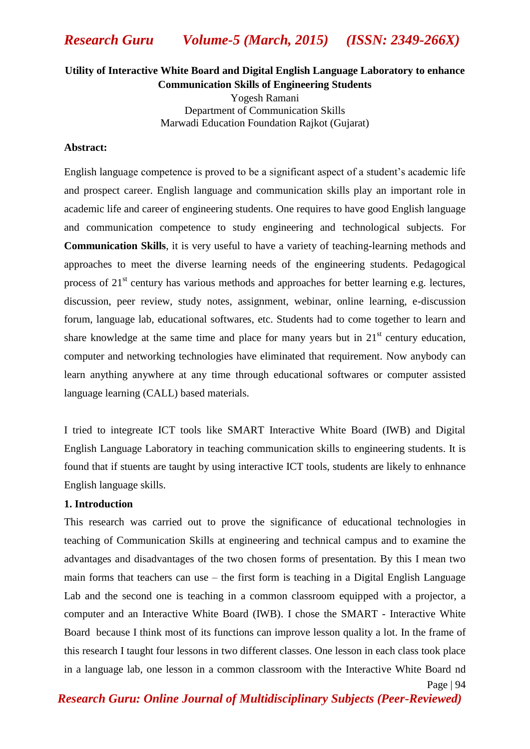# **Utility of Interactive White Board and Digital English Language Laboratory to enhance Communication Skills of Engineering Students**

Yogesh Ramani Department of Communication Skills Marwadi Education Foundation Rajkot (Gujarat)

### **Abstract:**

English language competence is proved to be a significant aspect of a student's academic life and prospect career. English language and communication skills play an important role in academic life and career of engineering students. One requires to have good English language and communication competence to study engineering and technological subjects. For **Communication Skills**, it is very useful to have a variety of teaching-learning methods and approaches to meet the diverse learning needs of the engineering students. Pedagogical process of  $21<sup>st</sup>$  century has various methods and approaches for better learning e.g. lectures, discussion, peer review, study notes, assignment, webinar, online learning, e-discussion forum, language lab, educational softwares, etc. Students had to come together to learn and share knowledge at the same time and place for many years but in  $21<sup>st</sup>$  century education, computer and networking technologies have eliminated that requirement. Now anybody can learn anything anywhere at any time through educational softwares or computer assisted language learning (CALL) based materials.

I tried to integreate ICT tools like SMART Interactive White Board (IWB) and Digital English Language Laboratory in teaching communication skills to engineering students. It is found that if stuents are taught by using interactive ICT tools, students are likely to enhnance English language skills.

# **1. Introduction**

Page | 94 This research was carried out to prove the significance of educational technologies in teaching of Communication Skills at engineering and technical campus and to examine the advantages and disadvantages of the two chosen forms of presentation. By this I mean two main forms that teachers can use – the first form is teaching in a Digital English Language Lab and the second one is teaching in a common classroom equipped with a projector, a computer and an Interactive White Board (IWB). I chose the SMART - Interactive White Board because I think most of its functions can improve lesson quality a lot. In the frame of this research I taught four lessons in two different classes. One lesson in each class took place in a language lab, one lesson in a common classroom with the Interactive White Board nd

*Research Guru: Online Journal of Multidisciplinary Subjects (Peer-Reviewed)*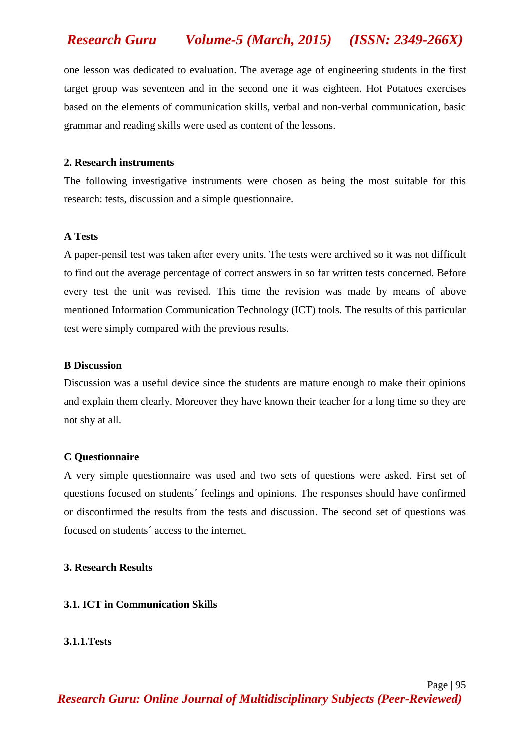one lesson was dedicated to evaluation. The average age of engineering students in the first target group was seventeen and in the second one it was eighteen. Hot Potatoes exercises based on the elements of communication skills, verbal and non-verbal communication, basic grammar and reading skills were used as content of the lessons.

### **2. Research instruments**

The following investigative instruments were chosen as being the most suitable for this research: tests, discussion and a simple questionnaire.

# **A Tests**

A paper-pensil test was taken after every units. The tests were archived so it was not difficult to find out the average percentage of correct answers in so far written tests concerned. Before every test the unit was revised. This time the revision was made by means of above mentioned Information Communication Technology (ICT) tools. The results of this particular test were simply compared with the previous results.

# **B Discussion**

Discussion was a useful device since the students are mature enough to make their opinions and explain them clearly. Moreover they have known their teacher for a long time so they are not shy at all.

### **C Questionnaire**

A very simple questionnaire was used and two sets of questions were asked. First set of questions focused on students´ feelings and opinions. The responses should have confirmed or disconfirmed the results from the tests and discussion. The second set of questions was focused on students´ access to the internet.

### **3. Research Results**

# **3.1. ICT in Communication Skills**

## **3.1.1.Tests**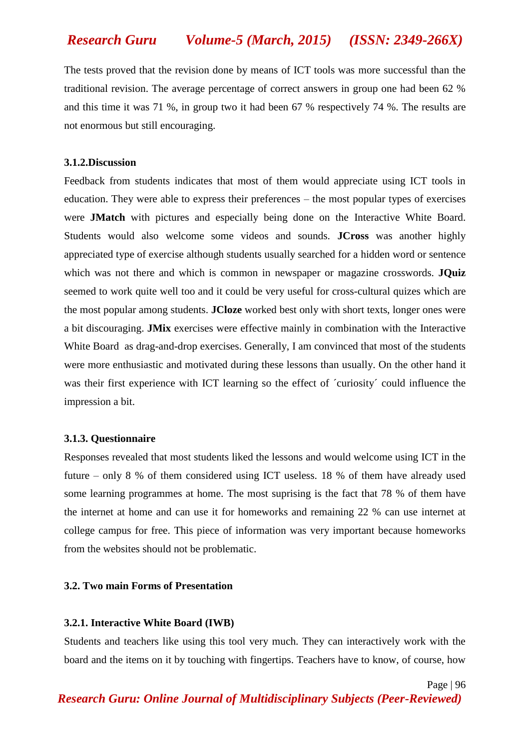The tests proved that the revision done by means of ICT tools was more successful than the traditional revision. The average percentage of correct answers in group one had been 62 % and this time it was 71 %, in group two it had been 67 % respectively 74 %. The results are not enormous but still encouraging.

### **3.1.2.Discussion**

Feedback from students indicates that most of them would appreciate using ICT tools in education. They were able to express their preferences – the most popular types of exercises were **JMatch** with pictures and especially being done on the Interactive White Board. Students would also welcome some videos and sounds. **JCross** was another highly appreciated type of exercise although students usually searched for a hidden word or sentence which was not there and which is common in newspaper or magazine crosswords. **JQuiz** seemed to work quite well too and it could be very useful for cross-cultural quizes which are the most popular among students. **JCloze** worked best only with short texts, longer ones were a bit discouraging. **JMix** exercises were effective mainly in combination with the Interactive White Board as drag-and-drop exercises. Generally, I am convinced that most of the students were more enthusiastic and motivated during these lessons than usually. On the other hand it was their first experience with ICT learning so the effect of ´curiosity´ could influence the impression a bit.

### **3.1.3. Questionnaire**

Responses revealed that most students liked the lessons and would welcome using ICT in the future – only 8 % of them considered using ICT useless. 18 % of them have already used some learning programmes at home. The most suprising is the fact that 78 % of them have the internet at home and can use it for homeworks and remaining 22 % can use internet at college campus for free. This piece of information was very important because homeworks from the websites should not be problematic.

### **3.2. Two main Forms of Presentation**

#### **3.2.1. Interactive White Board (IWB)**

Students and teachers like using this tool very much. They can interactively work with the board and the items on it by touching with fingertips. Teachers have to know, of course, how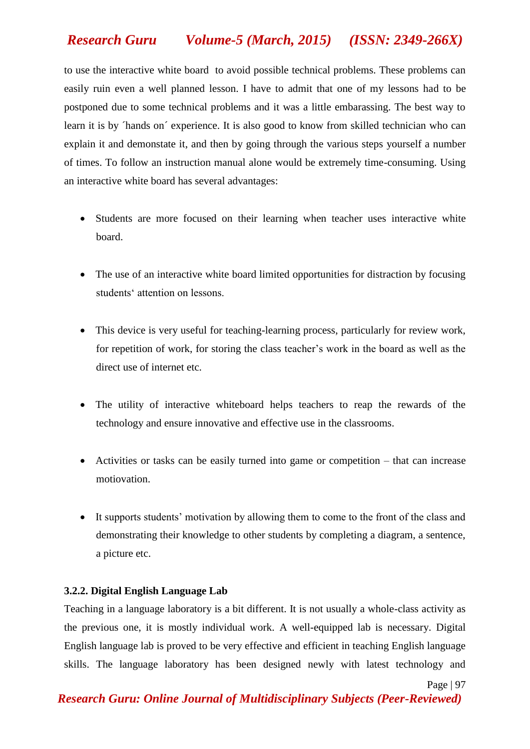to use the interactive white board to avoid possible technical problems. These problems can easily ruin even a well planned lesson. I have to admit that one of my lessons had to be postponed due to some technical problems and it was a little embarassing. The best way to learn it is by ´hands on´ experience. It is also good to know from skilled technician who can explain it and demonstate it, and then by going through the various steps yourself a number of times. To follow an instruction manual alone would be extremely time-consuming. Using an interactive white board has several advantages:

- Students are more focused on their learning when teacher uses interactive white board.
- The use of an interactive white board limited opportunities for distraction by focusing students' attention on lessons.
- This device is very useful for teaching-learning process, particularly for review work, for repetition of work, for storing the class teacher's work in the board as well as the direct use of internet etc.
- The utility of interactive whiteboard helps teachers to reap the rewards of the technology and ensure innovative and effective use in the classrooms.
- Activities or tasks can be easily turned into game or competition that can increase motiovation.
- It supports students' motivation by allowing them to come to the front of the class and demonstrating their knowledge to other students by completing a diagram, a sentence, a picture etc.

# **3.2.2. Digital English Language Lab**

Teaching in a language laboratory is a bit different. It is not usually a whole-class activity as the previous one, it is mostly individual work. A well-equipped lab is necessary. Digital English language lab is proved to be very effective and efficient in teaching English language skills. The language laboratory has been designed newly with latest technology and